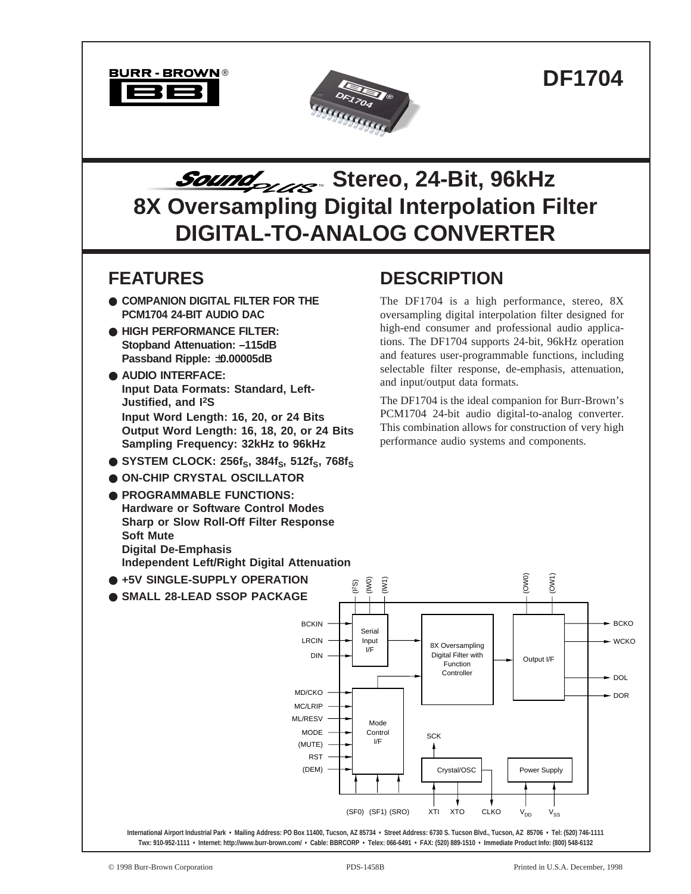



# *Sound<sub>ouse</sub>* Stereo, 24-Bit, 96kHz **8X Oversampling Digital Interpolation Filter DIGITAL-TO-ANALOG CONVERTER**

### **FEATURES**

- **COMPANION DIGITAL FILTER FOR THE PCM1704 24-BIT AUDIO DAC**
- **HIGH PERFORMANCE FILTER: Stopband Attenuation: –115dB Passband Ripple:** ±**0.00005dB**
- **AUDIO INTERFACE: Input Data Formats: Standard, Left-Justified, and I2S Input Word Length: 16, 20, or 24 Bits Output Word Length: 16, 18, 20, or 24 Bits Sampling Frequency: 32kHz to 96kHz**
- $\bullet$  SYSTEM CLOCK: 256f<sub>S</sub>, 384f<sub>S</sub>, 512f<sub>S</sub>, 768f<sub>S</sub>
- **ON-CHIP CRYSTAL OSCILLATOR**
- **PROGRAMMABLE FUNCTIONS: Hardware or Software Control Modes Sharp or Slow Roll-Off Filter Response Soft Mute Digital De-Emphasis Independent Left/Right Digital Attenuation**
- **+5V SINGLE-SUPPLY OPERATION**
- **SMALL 28-LEAD SSOP PACKAGE**

## **DESCRIPTION**

The DF1704 is a high performance, stereo, 8X oversampling digital interpolation filter designed for high-end consumer and professional audio applications. The DF1704 supports 24-bit, 96kHz operation and features user-programmable functions, including selectable filter response, de-emphasis, attenuation, and input/output data formats.

The DF1704 is the ideal companion for Burr-Brown's PCM1704 24-bit audio digital-to-analog converter. This combination allows for construction of very high performance audio systems and components.

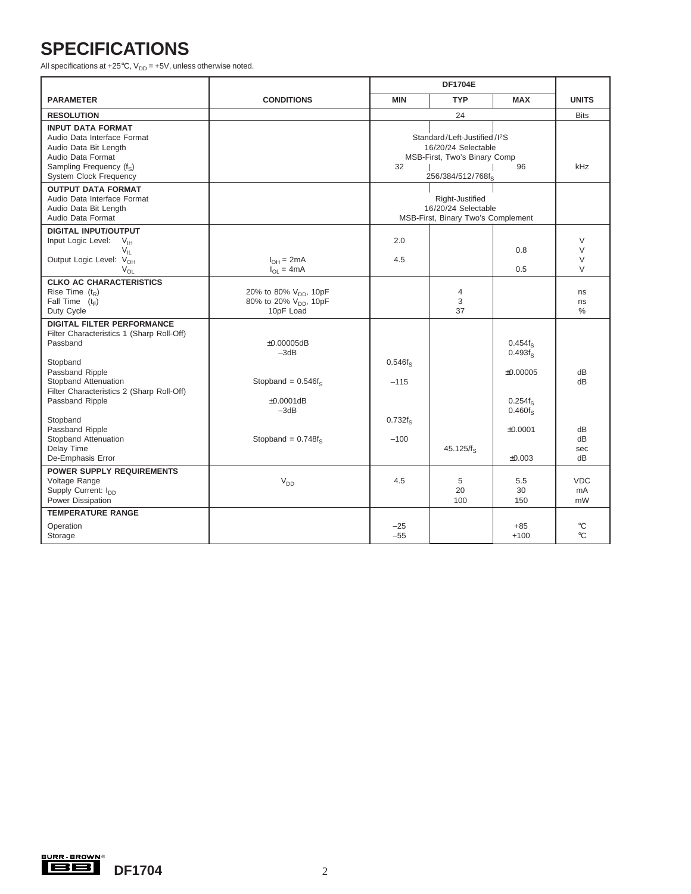## **SPECIFICATIONS**

All specifications at +25 $^{\circ}$ C, V<sub>DD</sub> = +5V, unless otherwise noted.

|                                                                                                                                                                                                                                                                                                                                                 |                                                                                                           |                                                    | <b>DF1704E</b>                                                                                                       |                                                                                                          |                                   |
|-------------------------------------------------------------------------------------------------------------------------------------------------------------------------------------------------------------------------------------------------------------------------------------------------------------------------------------------------|-----------------------------------------------------------------------------------------------------------|----------------------------------------------------|----------------------------------------------------------------------------------------------------------------------|----------------------------------------------------------------------------------------------------------|-----------------------------------|
| <b>PARAMETER</b>                                                                                                                                                                                                                                                                                                                                | <b>CONDITIONS</b>                                                                                         | <b>MIN</b>                                         | <b>TYP</b>                                                                                                           | <b>MAX</b>                                                                                               | <b>UNITS</b>                      |
| <b>RESOLUTION</b>                                                                                                                                                                                                                                                                                                                               |                                                                                                           |                                                    | 24                                                                                                                   |                                                                                                          | <b>Bits</b>                       |
| <b>INPUT DATA FORMAT</b><br>Audio Data Interface Format<br>Audio Data Bit Length<br>Audio Data Format<br>Sampling Frequency (f <sub>s</sub> )<br><b>System Clock Frequency</b>                                                                                                                                                                  |                                                                                                           | 32                                                 | Standard/Left-Justified/I <sup>2</sup> S<br>16/20/24 Selectable<br>MSB-First, Two's Binary Comp<br>256/384/512/768fs | 96                                                                                                       | kHz                               |
| <b>OUTPUT DATA FORMAT</b><br>Audio Data Interface Format<br>Audio Data Bit Length<br>Audio Data Format                                                                                                                                                                                                                                          |                                                                                                           |                                                    | Right-Justified<br>16/20/24 Selectable<br>MSB-First, Binary Two's Complement                                         |                                                                                                          |                                   |
| <b>DIGITAL INPUT/OUTPUT</b><br>Input Logic Level:<br>$V_{IH}$<br>$V_{\parallel}$<br>Output Logic Level: V <sub>OH</sub><br>$V_{OL}$                                                                                                                                                                                                             | $I_{OH} = 2mA$<br>$I_{OL} = 4mA$                                                                          | 2.0<br>4.5                                         |                                                                                                                      | 0.8<br>0.5                                                                                               | V<br>$\vee$<br>$\vee$<br>V        |
| <b>CLKO AC CHARACTERISTICS</b><br>Rise Time $(t_R)$<br>Fall Time $(t_F)$<br>Duty Cycle                                                                                                                                                                                                                                                          | 20% to 80% V <sub>DD</sub> , 10pF<br>80% to 20% V <sub>DD</sub> , 10pF<br>10pF Load                       |                                                    | $\overline{4}$<br>3<br>37                                                                                            |                                                                                                          | ns<br>ns<br>$\%$                  |
| <b>DIGITAL FILTER PERFORMANCE</b><br>Filter Characteristics 1 (Sharp Roll-Off)<br>Passband<br>Stopband<br>Passband Ripple<br>Stopband Attenuation<br>Filter Characteristics 2 (Sharp Roll-Off)<br>Passband Ripple<br>Stopband<br>Passband Ripple<br>Stopband Attenuation<br>Delay Time<br>De-Emphasis Error<br><b>POWER SUPPLY REQUIREMENTS</b> | $\pm 0.00005$ dB<br>$-3dB$<br>Stopband = $0.546f_s$<br>$\pm 0.0001$ dB<br>$-3dB$<br>Stopband = $0.748f_s$ | $0.546f_S$<br>$-115$<br>$0.732f_{\rm s}$<br>$-100$ | $45.125/f_s$                                                                                                         | 0.454f <sub>s</sub><br>0.493f <sub>s</sub><br>±0.00005<br>$0.254f_S$<br>$0.460 f_S$<br>±0.0001<br>±0.003 | dB<br>dВ<br>dB<br>dB<br>sec<br>dB |
| Voltage Range<br>Supply Current: I <sub>pp</sub><br>Power Dissipation                                                                                                                                                                                                                                                                           | $V_{DD}$                                                                                                  | 4.5                                                | 5<br>20<br>100                                                                                                       | 5.5<br>30<br>150                                                                                         | <b>VDC</b><br>mA<br>mW            |
| <b>TEMPERATURE RANGE</b><br>Operation<br>Storage                                                                                                                                                                                                                                                                                                |                                                                                                           | $-25$<br>$-55$                                     |                                                                                                                      | $+85$<br>$+100$                                                                                          | $^{\circ}C$<br>$^{\circ}C$        |

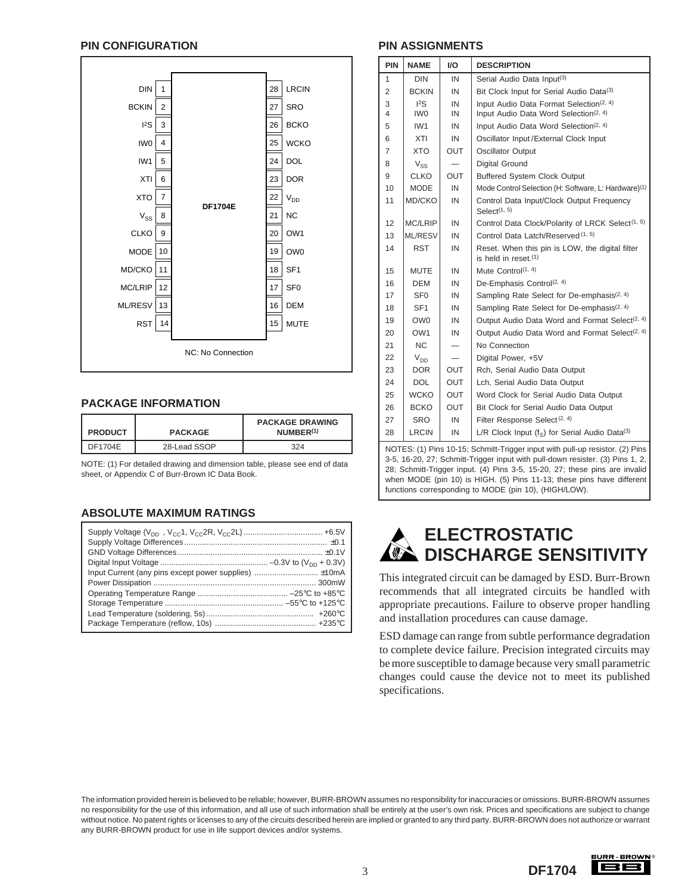#### **PIN CONFIGURATION PIN ASSIGNMENTS**



#### **PACKAGE INFORMATION**

| <b>PRODUCT</b> | <b>PACKAGE</b> | <b>PACKAGE DRAWING</b><br>NUMBER <sup>(1)</sup> |
|----------------|----------------|-------------------------------------------------|
| DF1704E        | 28-Lead SSOP   | 324                                             |

NOTE: (1) For detailed drawing and dimension table, please see end of data sheet, or Appendix C of Burr-Brown IC Data Book.

### **ABSOLUTE MAXIMUM RATINGS**

| Input Current (any pins except power supplies)  ±10mA |  |
|-------------------------------------------------------|--|
|                                                       |  |
|                                                       |  |
|                                                       |  |
|                                                       |  |
|                                                       |  |

| <b>PIN</b>     | <b>NAME</b>     | I/O        | <b>DESCRIPTION</b>                                                         |
|----------------|-----------------|------------|----------------------------------------------------------------------------|
| 1              | <b>DIN</b>      | IN         | Serial Audio Data Input(3)                                                 |
| $\overline{2}$ | <b>BCKIN</b>    | IN         | Bit Clock Input for Serial Audio Data(3)                                   |
| 3              | ${}^{12}S$      | IN         | Input Audio Data Format Selection <sup>(2, 4)</sup>                        |
| 4              | IW <sub>0</sub> | IN         | Input Audio Data Word Selection <sup>(2, 4)</sup>                          |
| 5              | IW <sub>1</sub> | IN         | Input Audio Data Word Selection <sup>(2, 4)</sup>                          |
| 6              | XTI             | IN         | Oscillator Input/External Clock Input                                      |
| $\overline{7}$ | <b>XTO</b>      | <b>OUT</b> | Oscillator Output                                                          |
| 8              | $V_{SS}$        |            | <b>Digital Ground</b>                                                      |
| 9              | <b>CLKO</b>     | <b>OUT</b> | <b>Buffered System Clock Output</b>                                        |
| 10             | <b>MODE</b>     | IN         | Mode Control Selection (H: Software, L: Hardware) <sup>(1)</sup>           |
| 11             | MD/CKO          | IN         | Control Data Input/Clock Output Frequency<br>Seler <sub>t</sub> (1, 5)     |
| 12             | <b>MC/LRIP</b>  | IN         | Control Data Clock/Polarity of LRCK Select <sup>(1, 5)</sup>               |
| 13             | <b>ML/RESV</b>  | IN         | Control Data Latch/Reserved (1, 5)                                         |
| 14             | <b>RST</b>      | IN         | Reset. When this pin is LOW, the digital filter<br>is held in reset. $(1)$ |
| 15             | <b>MUTE</b>     | IN         | Mute Control(1, 4)                                                         |
| 16             | <b>DEM</b>      | IN         | De-Emphasis Control <sup>(2, 4)</sup>                                      |
| 17             | SF <sub>0</sub> | IN         | Sampling Rate Select for De-emphasis <sup>(2, 4)</sup>                     |
| 18             | SF <sub>1</sub> | IN         | Sampling Rate Select for De-emphasis <sup>(2, 4)</sup>                     |
| 19             | OW <sub>0</sub> | IN         | Output Audio Data Word and Format Select <sup>(2, 4)</sup>                 |
| 20             | OW <sub>1</sub> | IN         | Output Audio Data Word and Format Select <sup>(2, 4)</sup>                 |
| 21             | <b>NC</b>       | —          | No Connection                                                              |
| 22             | $V_{DD}$        |            | Digital Power, +5V                                                         |
| 23             | DOR.            | <b>OUT</b> | Rch, Serial Audio Data Output                                              |
| 24             | <b>DOL</b>      | <b>OUT</b> | Lch, Serial Audio Data Output                                              |
| 25             | <b>WCKO</b>     | <b>OUT</b> | Word Clock for Serial Audio Data Output                                    |
| 26             | <b>BCKO</b>     | <b>OUT</b> | Bit Clock for Serial Audio Data Output                                     |
| 27             | <b>SRO</b>      | IN         | Filter Response Select <sup>(2, 4)</sup>                                   |
| 28             | <b>LRCIN</b>    | IN         | L/R Clock Input $(f_s)$ for Serial Audio Data(3)                           |

NOTES: (1) Pins 10-15; Schmitt-Trigger input with pull-up resistor. (2) Pins 3-5, 16-20, 27; Schmitt-Trigger input with pull-down resister. (3) Pins 1, 2, 28; Schmitt-Trigger input. (4) Pins 3-5, 15-20, 27; these pins are invalid when MODE (pin 10) is HIGH. (5) Pins 11-13; these pins have different functions corresponding to MODE (pin 10), (HIGH/LOW).



This integrated circuit can be damaged by ESD. Burr-Brown recommends that all integrated circuits be handled with appropriate precautions. Failure to observe proper handling and installation procedures can cause damage.

ESD damage can range from subtle performance degradation to complete device failure. Precision integrated circuits may be more susceptible to damage because very small parametric changes could cause the device not to meet its published specifications.

The information provided herein is believed to be reliable; however, BURR-BROWN assumes no responsibility for inaccuracies or omissions. BURR-BROWN assumes no responsibility for the use of this information, and all use of such information shall be entirely at the user's own risk. Prices and specifications are subject to change without notice. No patent rights or licenses to any of the circuits described herein are implied or granted to any third party. BURR-BROWN does not authorize or warrant any BURR-BROWN product for use in life support devices and/or systems.

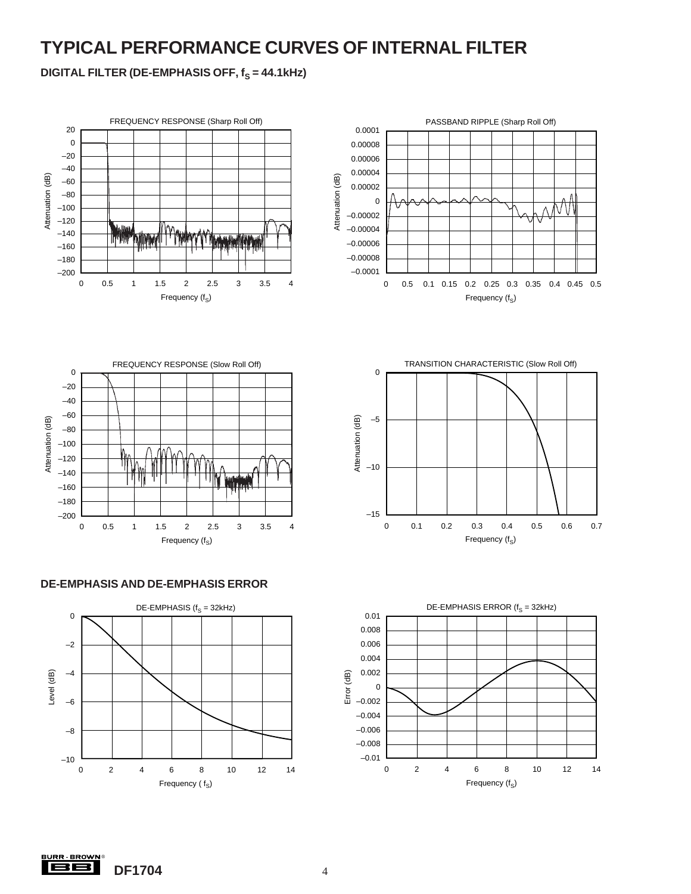## **TYPICAL PERFORMANCE CURVES OF INTERNAL FILTER**

**DIGITAL FILTER (DE-EMPHASIS OFF, f<sub>S</sub> = 44.1kHz)** 













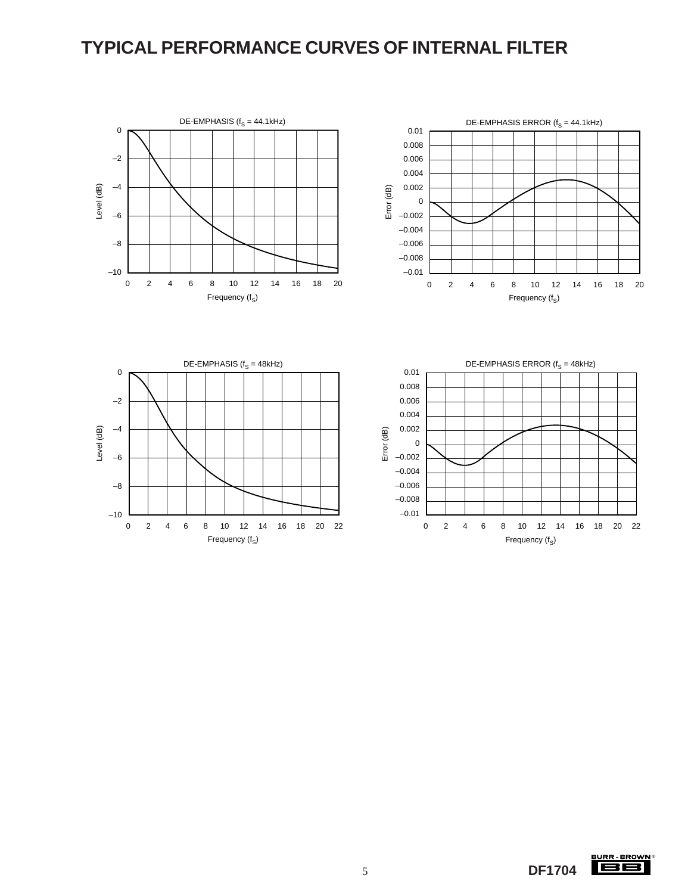### **TYPICAL PERFORMANCE CURVES OF INTERNAL FILTER**









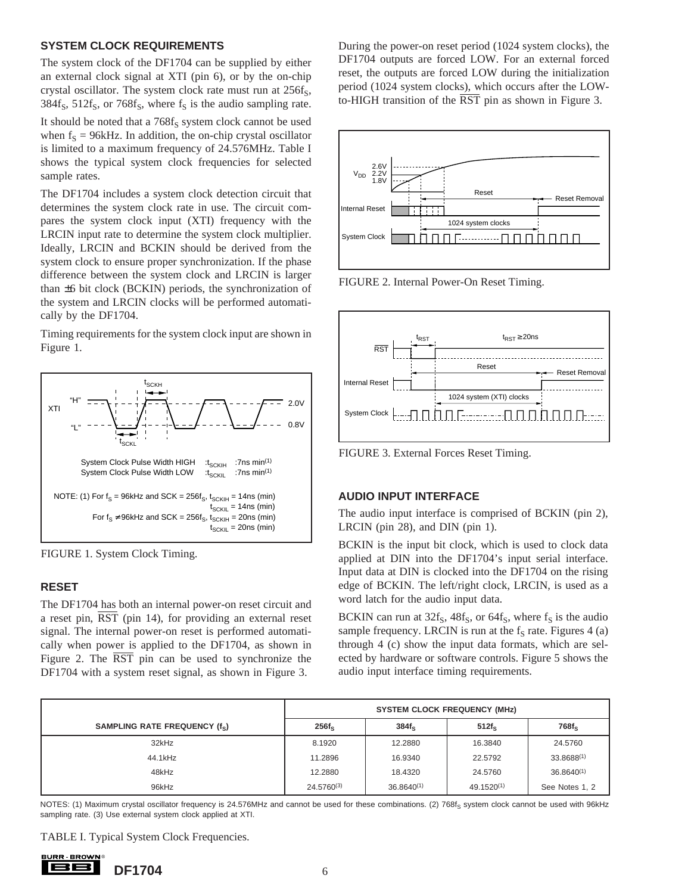#### **SYSTEM CLOCK REQUIREMENTS**

The system clock of the DF1704 can be supplied by either an external clock signal at XTI (pin 6), or by the on-chip crystal oscillator. The system clock rate must run at  $256f_S$ ,  $384f_s$ ,  $512f_s$ , or  $768f_s$ , where  $f_s$  is the audio sampling rate.

It should be noted that a  $768f_S$  system clock cannot be used when  $f<sub>S</sub> = 96kHz$ . In addition, the on-chip crystal oscillator is limited to a maximum frequency of 24.576MHz. Table I shows the typical system clock frequencies for selected sample rates.

The DF1704 includes a system clock detection circuit that determines the system clock rate in use. The circuit compares the system clock input (XTI) frequency with the LRCIN input rate to determine the system clock multiplier. Ideally, LRCIN and BCKIN should be derived from the system clock to ensure proper synchronization. If the phase difference between the system clock and LRCIN is larger than ±6 bit clock (BCKIN) periods, the synchronization of the system and LRCIN clocks will be performed automatically by the DF1704.

Timing requirements for the system clock input are shown in Figure 1.



FIGURE 1. System Clock Timing.

#### **RESET**

The DF1704 has both an internal power-on reset circuit and a reset pin, RST (pin 14), for providing an external reset signal. The internal power-on reset is performed automatically when power is applied to the DF1704, as shown in Figure 2. The RST pin can be used to synchronize the DF1704 with a system reset signal, as shown in Figure 3.

During the power-on reset period (1024 system clocks), the DF1704 outputs are forced LOW. For an external forced reset, the outputs are forced LOW during the initialization period (1024 system clocks), which occurs after the LOWto-HIGH transition of the  $\overline{RST}$  pin as shown in Figure 3.



FIGURE 2. Internal Power-On Reset Timing.



FIGURE 3. External Forces Reset Timing.

### **AUDIO INPUT INTERFACE**

The audio input interface is comprised of BCKIN (pin 2), LRCIN (pin 28), and DIN (pin 1).

BCKIN is the input bit clock, which is used to clock data applied at DIN into the DF1704's input serial interface. Input data at DIN is clocked into the DF1704 on the rising edge of BCKIN. The left/right clock, LRCIN, is used as a word latch for the audio input data.

BCKIN can run at  $32f_s$ ,  $48f_s$ , or  $64f_s$ , where  $f_s$  is the audio sample frequency. LRCIN is run at the  $f<sub>S</sub>$  rate. Figures 4 (a) through 4 (c) show the input data formats, which are selected by hardware or software controls. Figure 5 shows the audio input interface timing requirements.

| SAMPLING RATE FREQUENCY (fs) | $256f_S$        | $384f_S$        | $512f_s$   | $768f_S$        |
|------------------------------|-----------------|-----------------|------------|-----------------|
| 32kHz                        | 8.1920          | 12.2880         | 16.3840    | 24.5760         |
| 44.1kHz                      | 11.2896         | 16.9340         | 22.5792    | 33.8688(1)      |
| 48kHz                        | 12.2880         | 18.4320         | 24.5760    | $36.8640^{(1)}$ |
| 96kHz                        | $24.5760^{(3)}$ | $36.8640^{(1)}$ | 49.1520(1) | See Notes 1, 2  |

NOTES: (1) Maximum crystal oscillator frequency is 24.576MHz and cannot be used for these combinations. (2) 768f<sub>S</sub> system clock cannot be used with 96kHz sampling rate. (3) Use external system clock applied at XTI.

TABLE I. Typical System Clock Frequencies.

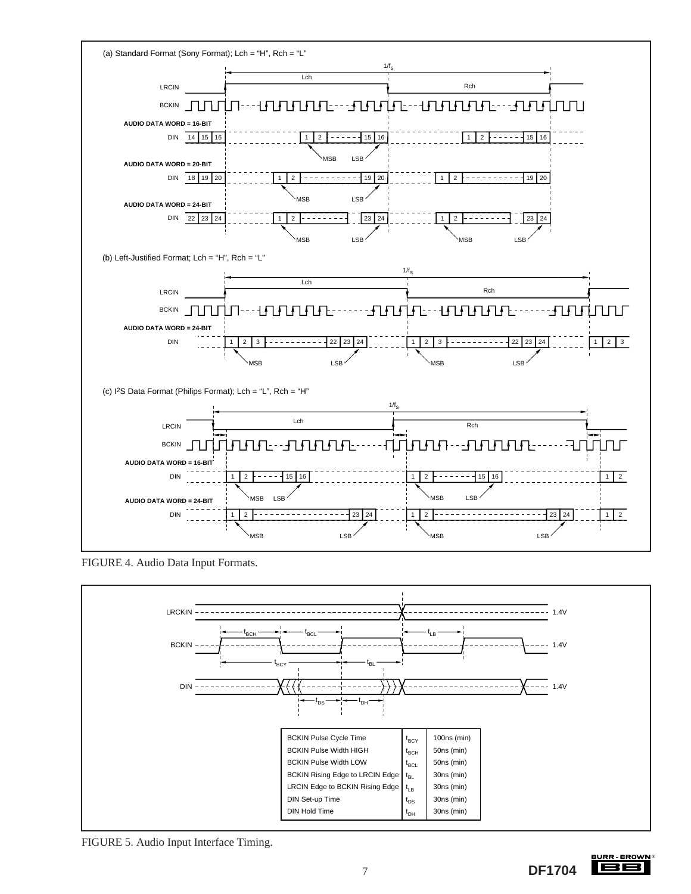

FIGURE 4. Audio Data Input Formats.



FIGURE 5. Audio Input Interface Timing.

**SURR BROWN** 188 7 **DF1704**

®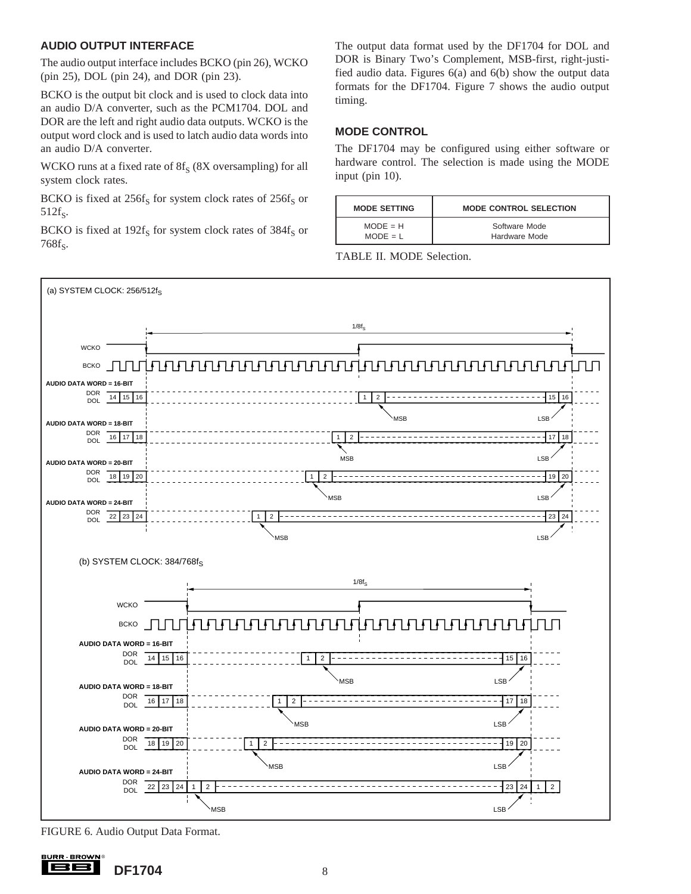### **AUDIO OUTPUT INTERFACE**

The audio output interface includes BCKO (pin 26), WCKO (pin 25), DOL (pin 24), and DOR (pin 23).

BCKO is the output bit clock and is used to clock data into an audio D/A converter, such as the PCM1704. DOL and DOR are the left and right audio data outputs. WCKO is the output word clock and is used to latch audio data words into an audio D/A converter.

WCKO runs at a fixed rate of  $8f_S$  ( $8X$  oversampling) for all system clock rates.

BCKO is fixed at  $256f_S$  for system clock rates of  $256f_S$  or  $512f_S$ .

BCKO is fixed at  $192f_S$  for system clock rates of  $384f_S$  or  $768f_s$ .

The output data format used by the DF1704 for DOL and DOR is Binary Two's Complement, MSB-first, right-justified audio data. Figures 6(a) and 6(b) show the output data formats for the DF1704. Figure 7 shows the audio output timing.

#### **MODE CONTROL**

The DF1704 may be configured using either software or hardware control. The selection is made using the MODE input (pin 10).

| <b>MODE SETTING</b> | <b>MODE CONTROL SELECTION</b> |
|---------------------|-------------------------------|
| $MODE = H$          | Software Mode                 |
| $MODE = L$          | Hardware Mode                 |

TABLE II. MODE Selection.



FIGURE 6. Audio Output Data Format.

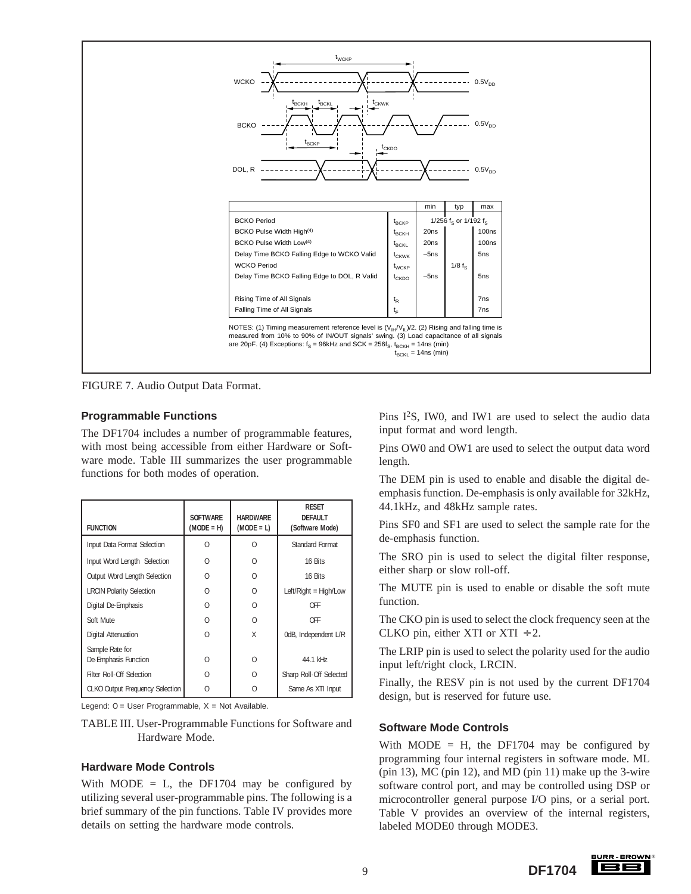

FIGURE 7. Audio Output Data Format.

#### **Programmable Functions**

The DF1704 includes a number of programmable features, with most being accessible from either Hardware or Software mode. Table III summarizes the user programmable functions for both modes of operation.

| <b>FUNCTION</b>                         | <b>SOFTWARE</b><br>$(MODE = H)$ | <b>HARDWARE</b><br>$(MODE = L)$ | <b>RESET</b><br><b>DEFAULT</b><br>(Software Mode) |
|-----------------------------------------|---------------------------------|---------------------------------|---------------------------------------------------|
| Input Data Format Selection             | ∩                               | Λ                               | Standard Format                                   |
| Input Word Length Selection             | Λ                               | U                               | 16 Bits                                           |
| Output Word Length Selection            | $\Omega$                        | $\cap$                          | 16 Bits                                           |
| <b>LRCIN Polarity Selection</b>         | O                               | $\cap$                          | Left/Right = High/Low                             |
| Digital De-Emphasis                     | $\Omega$                        | $\cap$                          | <b>OFF</b>                                        |
| Soft Mute                               | $\Omega$                        | $\cap$                          | <b>OFF</b>                                        |
| Digital Attenuation                     | $\Omega$                        | X                               | OdB, Independent L/R                              |
| Sample Rate for<br>De-Emphasis Function | $\Omega$                        | $\Omega$                        | 44.1 kHz                                          |
| Filter Roll-Off Selection               | Λ                               | $\Omega$                        | Sharp Roll-Off Selected                           |
| <b>CLKO Output Frequency Selection</b>  | $\Omega$                        | O                               | Same As XTI Input                                 |

Legend:  $0 =$  User Programmable,  $X =$  Not Available.

TABLE III. User-Programmable Functions for Software and Hardware Mode.

#### **Hardware Mode Controls**

With MODE = L, the DF1704 may be configured by utilizing several user-programmable pins. The following is a brief summary of the pin functions. Table IV provides more details on setting the hardware mode controls.

Pins I2S, IW0, and IW1 are used to select the audio data input format and word length.

Pins OW0 and OW1 are used to select the output data word length.

The DEM pin is used to enable and disable the digital deemphasis function. De-emphasis is only available for 32kHz, 44.1kHz, and 48kHz sample rates.

Pins SF0 and SF1 are used to select the sample rate for the de-emphasis function.

The SRO pin is used to select the digital filter response, either sharp or slow roll-off.

The MUTE pin is used to enable or disable the soft mute function.

The CKO pin is used to select the clock frequency seen at the CLKO pin, either XTI or  $XTI \div 2$ .

The LRIP pin is used to select the polarity used for the audio input left/right clock, LRCIN.

Finally, the RESV pin is not used by the current DF1704 design, but is reserved for future use.

#### **Software Mode Controls**

With MODE = H, the DF1704 may be configured by programming four internal registers in software mode. ML (pin 13), MC (pin 12), and MD (pin 11) make up the 3-wire software control port, and may be controlled using DSP or microcontroller general purpose I/O pins, or a serial port. Table V provides an overview of the internal registers, labeled MODE0 through MODE3.

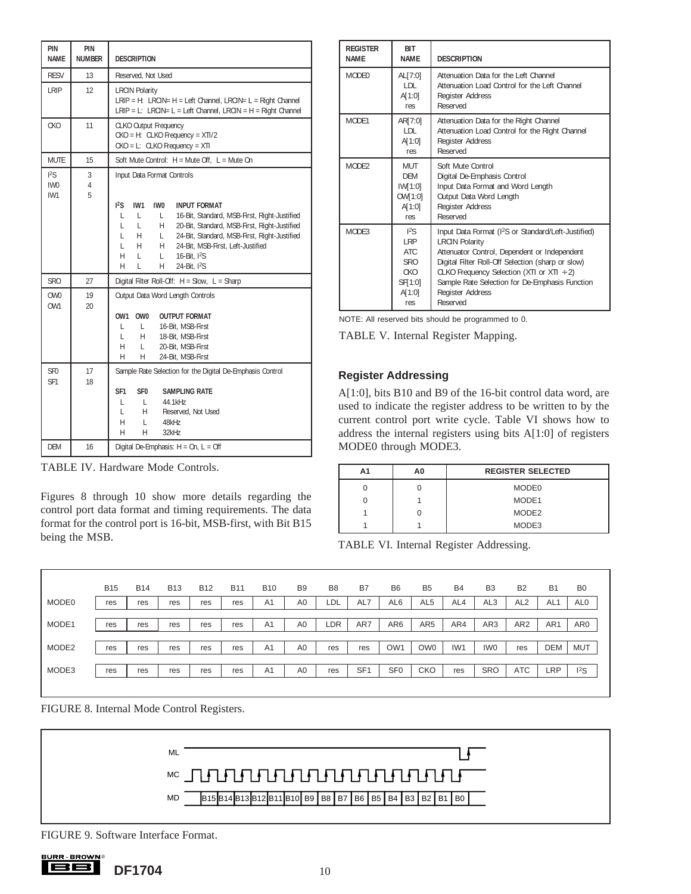| PIN<br><b>NAME</b>                 | PIN<br><b>NUMBER</b> | <b>DESCRIPTION</b>                                                                                                                                                                                                                                                                                                                                                                                                       |  |  |  |  |  |
|------------------------------------|----------------------|--------------------------------------------------------------------------------------------------------------------------------------------------------------------------------------------------------------------------------------------------------------------------------------------------------------------------------------------------------------------------------------------------------------------------|--|--|--|--|--|
| <b>RESV</b>                        | 13                   | Reserved, Not Used                                                                                                                                                                                                                                                                                                                                                                                                       |  |  |  |  |  |
| LRIP                               | 12                   | <b>LRCIN Polarity</b><br>LRIP = H: LRCIN= H = Left Channel, LRCIN= L = Right Channel<br>LRIP = L: LRCIN= L = Left Channel, LRCIN = H = Right Channel                                                                                                                                                                                                                                                                     |  |  |  |  |  |
| <b>CKO</b>                         | 11                   | <b>CLKO Output Frequency</b><br>$CKO = H$ : CLKO Frequency = $XTI/2$<br>$CKO = L$ : CLKO Frequency = XTI                                                                                                                                                                                                                                                                                                                 |  |  |  |  |  |
| <b>MUTE</b>                        | 15                   | Soft Mute Control: H = Mute Off, L = Mute On                                                                                                                                                                                                                                                                                                                                                                             |  |  |  |  |  |
| 12S<br>IW <sub>0</sub><br>IW1      | 3<br>4<br>5          | Input Data Format Controls                                                                                                                                                                                                                                                                                                                                                                                               |  |  |  |  |  |
|                                    |                      | $^{12}S$<br>IW1<br>IW0<br><b>INPUT FORMAT</b><br>16-Bit, Standard, MSB-First, Right-Justified<br>L<br>L<br>L.<br>L<br>L<br>H<br>20-Bit, Standard, MSB-First, Right-Justified<br>L.<br>$\mathsf{L}$<br>24-Bit, Standard, MSB-First, Right-Justified<br>H $\overline{a}$<br>L.<br>H<br>H<br>24-Bit, MSB-First, Left-Justified<br>16-Bit. <sup>12</sup> S<br>H<br>L<br>$\lfloor$<br>H<br>L<br>H.<br>24-Bit, <sup>12</sup> S |  |  |  |  |  |
| SR <sub>0</sub>                    | 27                   | Digital Filter Roll-Off: $H = Slow$ , $L = Sharp$                                                                                                                                                                                                                                                                                                                                                                        |  |  |  |  |  |
| OW0<br>0W1                         | 19<br>$20 -$         | Output Data Word Length Controls<br>0W1<br>OW0<br><b>OUTPUT FORMAT</b>                                                                                                                                                                                                                                                                                                                                                   |  |  |  |  |  |
|                                    |                      | L.<br>16-Bit. MSB-First<br>L.<br>L.<br>H<br>18-Bit, MSB-First<br>H<br>L<br>20-Bit, MSB-First<br>H<br>24-Bit, MSB-First<br>Н.                                                                                                                                                                                                                                                                                             |  |  |  |  |  |
| SF <sub>0</sub><br>SF <sub>1</sub> | 17<br>18             | Sample Rate Selection for the Digital De-Emphasis Control                                                                                                                                                                                                                                                                                                                                                                |  |  |  |  |  |
|                                    |                      | SF <sub>1</sub><br>SF <sub>0</sub><br><b>SAMPLING RATE</b><br>L<br>L.<br>44.1kHz<br>H<br>Reserved, Not Used<br>L<br>L<br>H.<br>48kHz<br>H<br>H<br>32kHz                                                                                                                                                                                                                                                                  |  |  |  |  |  |
| DEM                                | 16                   | Digital De-Emphasis: $H = On$ , $L = Off$                                                                                                                                                                                                                                                                                                                                                                                |  |  |  |  |  |

TABLE IV. Hardware Mode Controls.

Figures 8 through 10 show more details regarding the control port data format and timing requirements. The data format for the control port is 16-bit, MSB-first, with Bit B15 being the MSB.

| <b>REGISTER</b><br><b>NAMF</b> | <b>BIT</b><br><b>NAMF</b>                                            | <b>DESCRIPTION</b>                                                                                                                                                                                                                                                                                                                |
|--------------------------------|----------------------------------------------------------------------|-----------------------------------------------------------------------------------------------------------------------------------------------------------------------------------------------------------------------------------------------------------------------------------------------------------------------------------|
| MODF <sub>0</sub>              | AL[7:0]<br>LDL<br>A[1:0]<br>res                                      | Attenuation Data for the Left Channel<br>Attenuation Load Control for the Left Channel<br>Register Address<br>Reserved                                                                                                                                                                                                            |
| MODF1                          | AR[7:0]<br>LDL<br>A[1:0]<br>res                                      | Attenuation Data for the Right Channel<br>Attenuation Load Control for the Right Channel<br>Register Address<br>Reserved                                                                                                                                                                                                          |
| MODF <sub>2</sub>              | <b>MUT</b><br><b>DFM</b><br>IW[1:0]<br>OW[1:0]<br>A[1:0]<br>res      | Soft Mute Control<br>Digital De-Emphasis Control<br>Input Data Format and Word Length<br>Output Data Word Length<br>Register Address<br>Reserved                                                                                                                                                                                  |
| MODE3                          | 12S<br>I RP<br>ATC<br><b>SRO</b><br>CKO.<br>SF[1:0]<br>A[1:0]<br>res | Input Data Format (I <sup>2</sup> S or Standard/Left-Justified)<br><b>LRCIN Polarity</b><br>Attenuator Control, Dependent or Independent<br>Digital Filter Roll-Off Selection (sharp or slow)<br>CLKO Frequency Selection (XTI or XTI $\div$ 2)<br>Sample Rate Selection for De-Emphasis Function<br>Register Address<br>Reserved |

NOTE: All reserved bits should be programmed to 0.

TABLE V. Internal Register Mapping.

#### **Register Addressing**

A[1:0], bits B10 and B9 of the 16-bit control data word, are used to indicate the register address to be written to by the current control port write cycle. Table VI shows how to address the internal registers using bits A[1:0] of registers MODE0 through MODE3.

| А1 | A0 | <b>REGISTER SELECTED</b> |
|----|----|--------------------------|
|    |    | MODE <sub>0</sub>        |
|    |    | MODE1                    |
|    |    | MODE <sub>2</sub>        |
|    |    | MODE3                    |

TABLE VI. Internal Register Addressing.

|                   | <b>B15</b> | <b>B14</b> | <b>B13</b> | <b>B12</b> | <b>B11</b> | <b>B10</b>     | B <sub>9</sub> | B <sub>8</sub> | B7              | B <sub>6</sub>  | B <sub>5</sub>  | <b>B4</b>       | B <sub>3</sub>  | <b>B2</b>       | <b>B1</b>       | B <sub>0</sub> |
|-------------------|------------|------------|------------|------------|------------|----------------|----------------|----------------|-----------------|-----------------|-----------------|-----------------|-----------------|-----------------|-----------------|----------------|
| MODE <sub>0</sub> | res        | res        | res        | res        | res        | A <sub>1</sub> | A <sub>0</sub> | LDL            | AL7             | AL6             | AL <sub>5</sub> | AL <sub>4</sub> | AL <sub>3</sub> | AL <sub>2</sub> | AL1             | ALO            |
|                   |            |            |            |            |            |                |                |                |                 |                 |                 |                 |                 |                 |                 |                |
| MODE1             | res        | res        | res        | res        | res        | A <sub>1</sub> | A <sub>0</sub> | LDR            | AR7             | AR <sub>6</sub> | AR <sub>5</sub> | AR4             | AR3             | AR <sub>2</sub> | AR <sub>1</sub> | AR0            |
|                   |            |            |            |            |            |                |                |                |                 |                 |                 |                 |                 |                 |                 |                |
| MODE <sub>2</sub> | res        | res        | res        | res        | res        | A <sub>1</sub> | A <sub>0</sub> | res            | res             | OW <sub>1</sub> | OW <sub>0</sub> | IW <sub>1</sub> | IW <sub>0</sub> | res             | <b>DEM</b>      | <b>MUT</b>     |
|                   |            |            |            |            |            |                |                |                |                 |                 |                 |                 |                 |                 |                 |                |
| MODE3             | res        | res        | res        | res        | res        | A <sub>1</sub> | A <sub>0</sub> | res            | SF <sub>1</sub> | SF <sub>0</sub> | <b>CKO</b>      | res             | <b>SRO</b>      | <b>ATC</b>      | ∟RP             | 12S            |
|                   |            |            |            |            |            |                |                |                |                 |                 |                 |                 |                 |                 |                 |                |

FIGURE 8. Internal Mode Control Registers.



FIGURE 9. Software Interface Format.

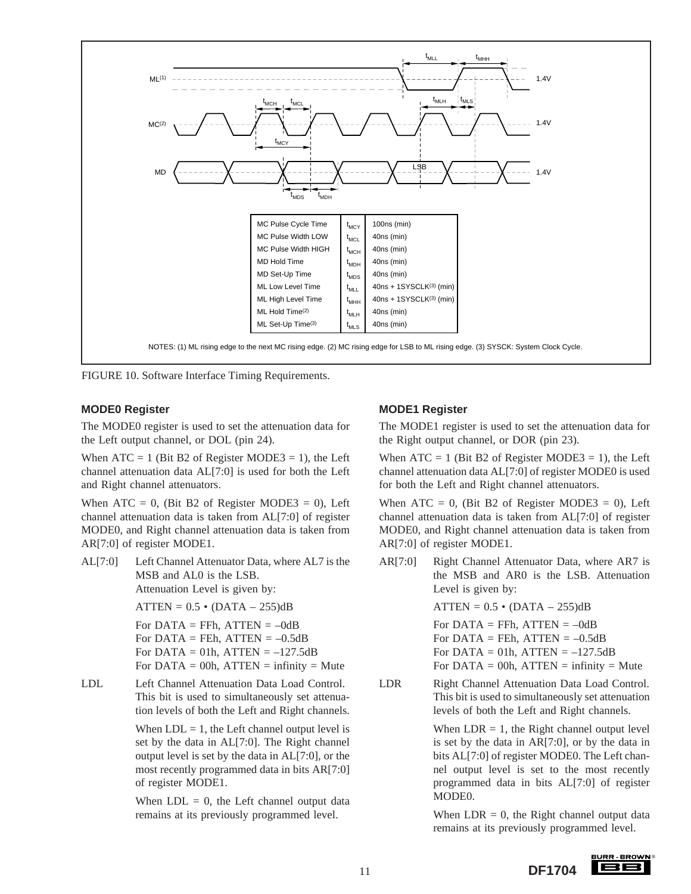

FIGURE 10. Software Interface Timing Requirements.

#### **MODE0 Register**

The MODE0 register is used to set the attenuation data for the Left output channel, or DOL (pin 24).

When  $ATC = 1$  (Bit B2 of Register MODE3 = 1), the Left channel attenuation data AL[7:0] is used for both the Left and Right channel attenuators.

When  $ATC = 0$ , (Bit B2 of Register MODE3 = 0), Left channel attenuation data is taken from AL[7:0] of register MODE0, and Right channel attenuation data is taken from AR[7:0] of register MODE1.

AL[7:0] Left Channel Attenuator Data, where AL7 is the MSB and AL0 is the LSB. Attenuation Level is given by:

 $ATTEN = 0.5 \cdot (DATA - 255)dB$ 

For  $DATA = FFh$ ,  $ATTEN = -0dB$ For DATA = FEh,  $ATTEN = -0.5dB$ For DATA = 01h,  $ATTEN = -127.5dB$ For  $DATA = 00h$ ,  $ATTEN =$  infinity = Mute

LDL Left Channel Attenuation Data Load Control. This bit is used to simultaneously set attenuation levels of both the Left and Right channels.

> When  $LDL = 1$ , the Left channel output level is set by the data in AL[7:0]. The Right channel output level is set by the data in AL[7:0], or the most recently programmed data in bits AR[7:0] of register MODE1.

> When  $LDL = 0$ , the Left channel output data remains at its previously programmed level.

### **MODE1 Register**

The MODE1 register is used to set the attenuation data for the Right output channel, or DOR (pin 23).

When  $ATC = 1$  (Bit B2 of Register MODE3 = 1), the Left channel attenuation data AL[7:0] of register MODE0 is used for both the Left and Right channel attenuators.

When  $ATC = 0$ , (Bit B2 of Register MODE3 = 0), Left channel attenuation data is taken from AL[7:0] of register MODE0, and Right channel attenuation data is taken from AR[7:0] of register MODE1.

AR[7:0] Right Channel Attenuator Data, where AR7 is the MSB and AR0 is the LSB. Attenuation Level is given by:

 $ATTEN = 0.5 \cdot (DATA - 255)dB$ 

For  $DATA = FFh$ ,  $ATTEN = -0dB$ For  $DATA = FEh$ ,  $ATTEN = -0.5dB$ For DATA = 01h,  $ATTEN = -127.5dB$ For  $DATA = 00h$ ,  $ATTEN =$  infinity = Mute

LDR Right Channel Attenuation Data Load Control. This bit is used to simultaneously set attenuation levels of both the Left and Right channels.

> When  $LDR = 1$ , the Right channel output level is set by the data in AR[7:0], or by the data in bits AL[7:0] of register MODE0. The Left channel output level is set to the most recently programmed data in bits AL[7:0] of register MODE0.

> When  $LDR = 0$ , the Right channel output data remains at its previously programmed level.

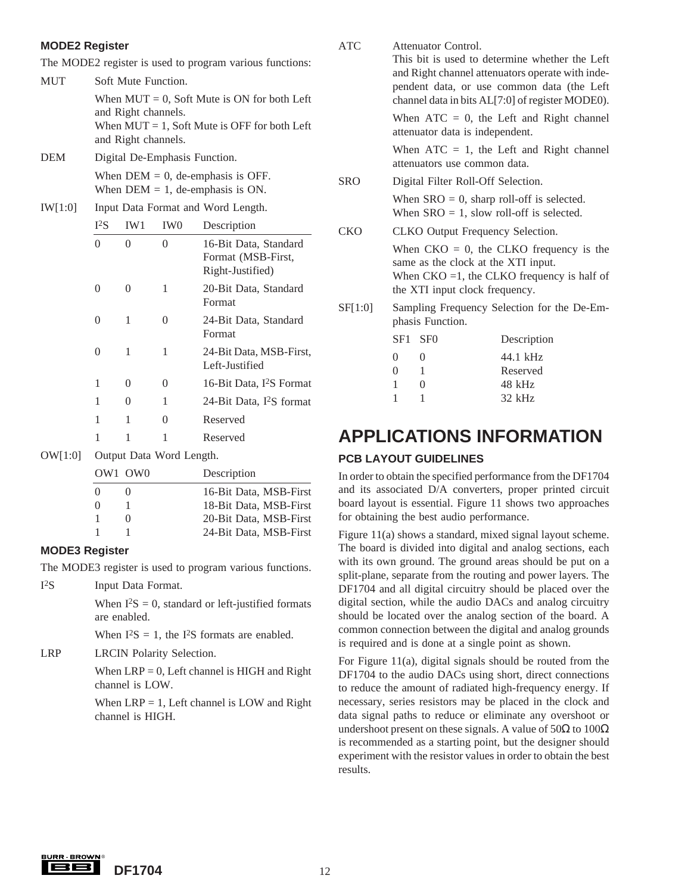### **MODE2 Register**

The MODE2 register is used to program various functions:

MUT Soft Mute Function. When  $MUT = 0$ . Soft Mute is ON for both and Right channels. When  $MUT = 1$ , Soft Mute is OFF for both and Right channels.

- DEM Digital De-Emphasis Function. When  $DEM = 0$ , de-emphasis is OFF. When  $DEM = 1$ , de-emphasis is ON.
- IW[1:0] Input Data Format and Word Length.

| $I^2S$   | IW1               | IW <sub>0</sub>   | Description                                                     |
|----------|-------------------|-------------------|-----------------------------------------------------------------|
| $\Omega$ | 0                 | $\mathbf{\Omega}$ | 16-Bit Data, Standard<br>Format (MSB-First,<br>Right-Justified) |
|          |                   | 1                 | 20-Bit Data, Standard<br>Format                                 |
| $\Omega$ | 1                 | $\theta$          | 24-Bit Data, Standard<br>Format                                 |
| 0        | 1                 | 1                 | 24-Bit Data, MSB-First,<br>Left-Justified                       |
| 1        | $\mathbf{\Omega}$ | $\theta$          | 16-Bit Data, I <sup>2</sup> S Format                            |
| 1        | $\mathbf{\Omega}$ | 1                 | 24-Bit Data, I <sup>2</sup> S format                            |
| 1        | 1                 | 0                 | Reserved                                                        |
|          |                   |                   | Reserved                                                        |

OW[1:0] Output Data Word Length.

|          | OW1 OW0 | Description            |
|----------|---------|------------------------|
| $\Omega$ |         | 16-Bit Data, MSB-First |
| $\Omega$ |         | 18-Bit Data, MSB-First |
|          |         | 20-Bit Data, MSB-First |
|          |         | 24-Bit Data, MSB-First |
|          |         |                        |

### **MODE3 Register**

The MODE3 register is used to program various functions.

I2S Input Data Format.

When  $I^2S = 0$ , standard or left-justified formats are enabled.

When  $I^2S = 1$ , the  $I^2S$  formats are enabled.

LRP LRCIN Polarity Selection.

When  $LRP = 0$ , Left channel is HIGH and Right channel is LOW.

When  $LRP = 1$ , Left channel is LOW and Right channel is HIGH.

| ons:<br>Left | <b>ATC</b> |                                                                                                                                                                       | Attenuator Control.             | This bit is used to determine whether the Left<br>and Right channel attenuators operate with inde-<br>pendent data, or use common data (the Left<br>channel data in bits AL[7:0] of register MODE0). |
|--------------|------------|-----------------------------------------------------------------------------------------------------------------------------------------------------------------------|---------------------------------|------------------------------------------------------------------------------------------------------------------------------------------------------------------------------------------------------|
| Left         |            |                                                                                                                                                                       | attenuator data is independent. | When $ATC = 0$ , the Left and Right channel                                                                                                                                                          |
|              |            | When $ATC = 1$ , the Left and Right channel<br>attenuators use common data.                                                                                           |                                 |                                                                                                                                                                                                      |
|              | <b>SRO</b> | Digital Filter Roll-Off Selection.                                                                                                                                    |                                 |                                                                                                                                                                                                      |
|              |            | When $SRO = 0$ , sharp roll-off is selected.<br>When $SRO = 1$ , slow roll-off is selected.                                                                           |                                 |                                                                                                                                                                                                      |
|              | CKO        | CLKO Output Frequency Selection.                                                                                                                                      |                                 |                                                                                                                                                                                                      |
| ırd<br>ırd   |            | When $CKO = 0$ , the CLKO frequency is the<br>same as the clock at the XTI input.<br>When $CKO = 1$ , the CLKO frequency is half of<br>the XTI input clock frequency. |                                 |                                                                                                                                                                                                      |
| ırd          | SF[1:0]    | Sampling Frequency Selection for the De-Em-<br>phasis Function.                                                                                                       |                                 |                                                                                                                                                                                                      |
|              |            | SF1                                                                                                                                                                   | SF <sub>0</sub>                 | Description                                                                                                                                                                                          |
| irst,        |            | $\Omega$<br>$\theta$                                                                                                                                                  | $\Omega$<br>1                   | 44.1 kHz<br>Reserved                                                                                                                                                                                 |
| rmat         |            | 1                                                                                                                                                                     | 0                               | 48 kHz                                                                                                                                                                                               |

### **APPLICATIONS INFORMATION**

1 1 32 kHz

### **PCB LAYOUT GUIDELINES**

In order to obtain the specified performance from the DF1704 and its associated D/A converters, proper printed circuit board layout is essential. Figure 11 shows two approaches for obtaining the best audio performance.

Figure 11(a) shows a standard, mixed signal layout scheme. The board is divided into digital and analog sections, each with its own ground. The ground areas should be put on a split-plane, separate from the routing and power layers. The DF1704 and all digital circuitry should be placed over the digital section, while the audio DACs and analog circuitry should be located over the analog section of the board. A common connection between the digital and analog grounds is required and is done at a single point as shown.

For Figure 11(a), digital signals should be routed from the DF1704 to the audio DACs using short, direct connections to reduce the amount of radiated high-frequency energy. If necessary, series resistors may be placed in the clock and data signal paths to reduce or eliminate any overshoot or undershoot present on these signals. A value of  $50\Omega$  to  $100\Omega$ is recommended as a starting point, but the designer should experiment with the resistor values in order to obtain the best results.

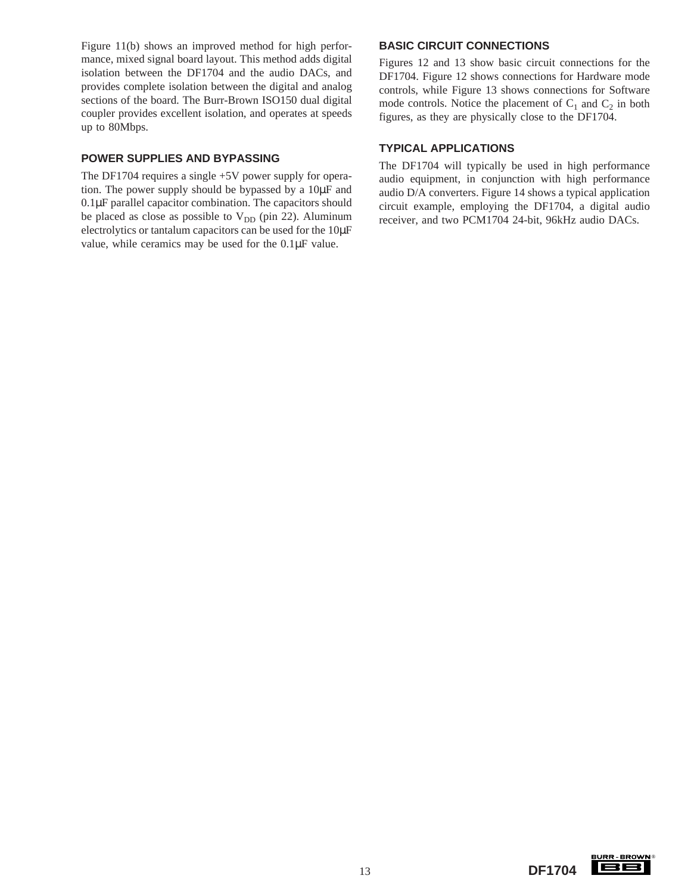Figure 11(b) shows an improved method for high performance, mixed signal board layout. This method adds digital isolation between the DF1704 and the audio DACs, and provides complete isolation between the digital and analog sections of the board. The Burr-Brown ISO150 dual digital coupler provides excellent isolation, and operates at speeds up to 80Mbps.

#### **POWER SUPPLIES AND BYPASSING**

The DF1704 requires a single +5V power supply for operation. The power supply should be bypassed by a 10µF and 0.1µF parallel capacitor combination. The capacitors should be placed as close as possible to  $V_{DD}$  (pin 22). Aluminum electrolytics or tantalum capacitors can be used for the 10µF value, while ceramics may be used for the 0.1µF value.

#### **BASIC CIRCUIT CONNECTIONS**

Figures 12 and 13 show basic circuit connections for the DF1704. Figure 12 shows connections for Hardware mode controls, while Figure 13 shows connections for Software mode controls. Notice the placement of  $C_1$  and  $C_2$  in both figures, as they are physically close to the DF1704.

#### **TYPICAL APPLICATIONS**

The DF1704 will typically be used in high performance audio equipment, in conjunction with high performance audio D/A converters. Figure 14 shows a typical application circuit example, employing the DF1704, a digital audio receiver, and two PCM1704 24-bit, 96kHz audio DACs.

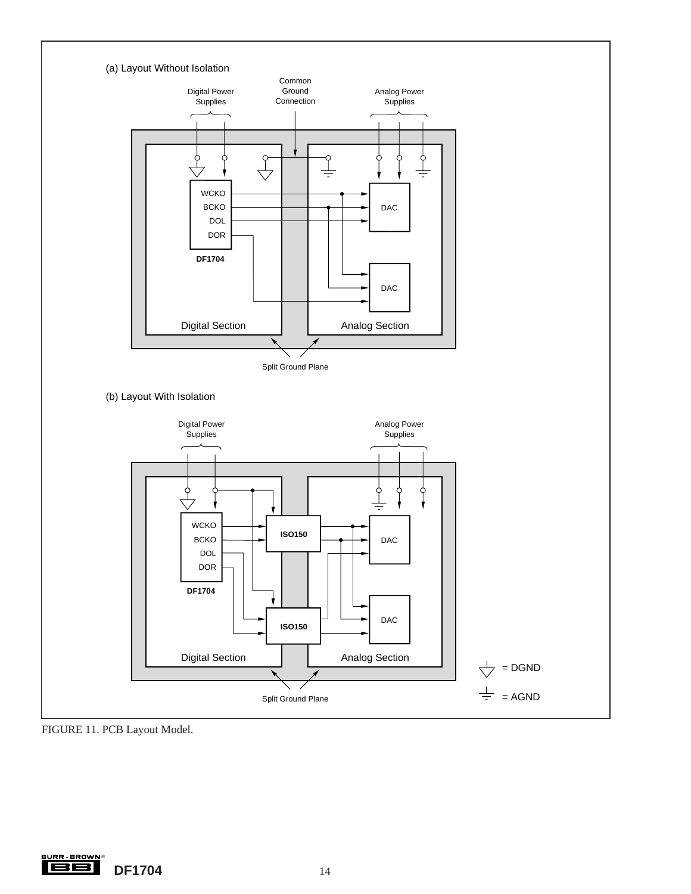

FIGURE 11. PCB Layout Model.

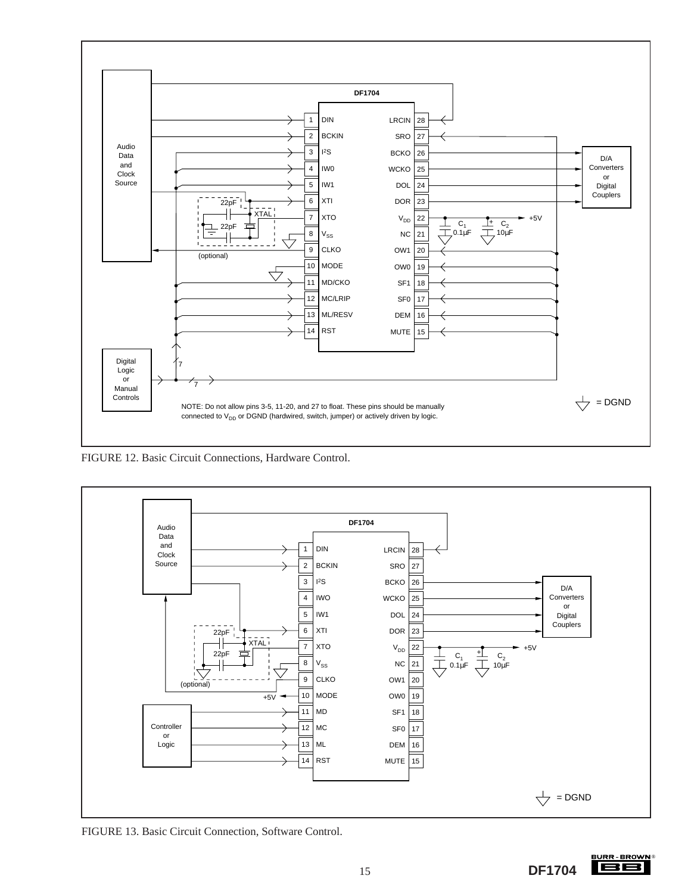

FIGURE 12. Basic Circuit Connections, Hardware Control.



FIGURE 13. Basic Circuit Connection, Software Control.